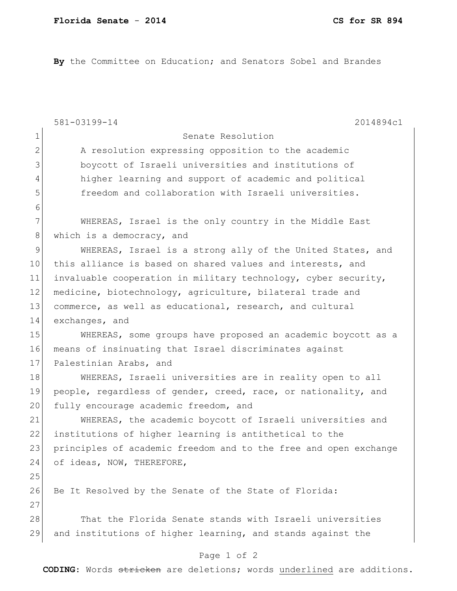By the Committee on Education; and Senators Sobel and Brandes

|              | 581-03199-14<br>2014894c1                                        |
|--------------|------------------------------------------------------------------|
| $\mathbf 1$  | Senate Resolution                                                |
| $\mathbf{2}$ | A resolution expressing opposition to the academic               |
| 3            | boycott of Israeli universities and institutions of              |
| 4            | higher learning and support of academic and political            |
| 5            | freedom and collaboration with Israeli universities.             |
| 6            |                                                                  |
| 7            | WHEREAS, Israel is the only country in the Middle East           |
| $8\,$        | which is a democracy, and                                        |
| 9            | WHEREAS, Israel is a strong ally of the United States, and       |
| 10           | this alliance is based on shared values and interests, and       |
| 11           | invaluable cooperation in military technology, cyber security,   |
| 12           | medicine, biotechnology, agriculture, bilateral trade and        |
| 13           | commerce, as well as educational, research, and cultural         |
| 14           | exchanges, and                                                   |
| 15           | WHEREAS, some groups have proposed an academic boycott as a      |
| 16           | means of insinuating that Israel discriminates against           |
| 17           | Palestinian Arabs, and                                           |
| 18           | WHEREAS, Israeli universities are in reality open to all         |
| 19           | people, regardless of gender, creed, race, or nationality, and   |
| 20           | fully encourage academic freedom, and                            |
| 21           | WHEREAS, the academic boycott of Israeli universities and        |
| 22           | institutions of higher learning is antithetical to the           |
| 23           | principles of academic freedom and to the free and open exchange |
| 24           | of ideas, NOW, THEREFORE,                                        |
| 25           |                                                                  |
| 26           | Be It Resolved by the Senate of the State of Florida:            |
| 27           |                                                                  |
| 28           | That the Florida Senate stands with Israeli universities         |
| 29           | and institutions of higher learning, and stands against the      |
|              | Page 1 of 2                                                      |

**CODING**: Words stricken are deletions; words underlined are additions.